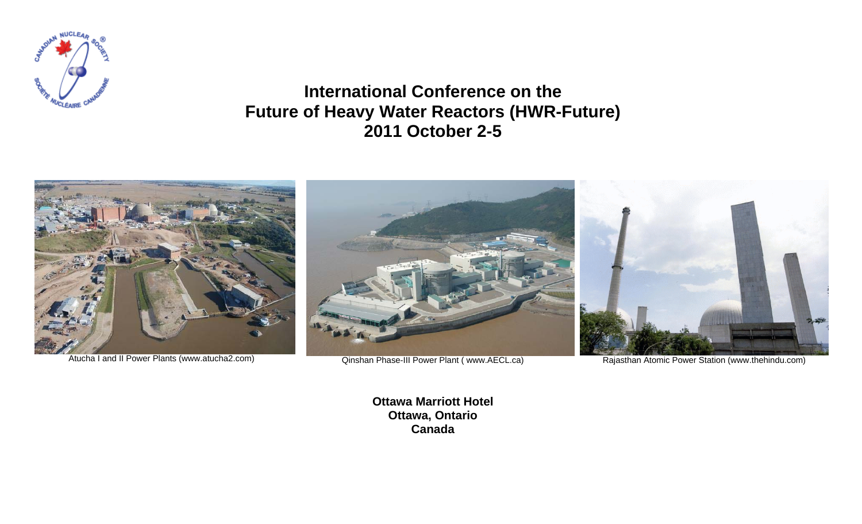

**International Conference on the Future of Heavy Water Reactors (HWR-Future) 2011 October 2-5** 



**Ottawa Marriott Hotel Ottawa, Ontario Canada**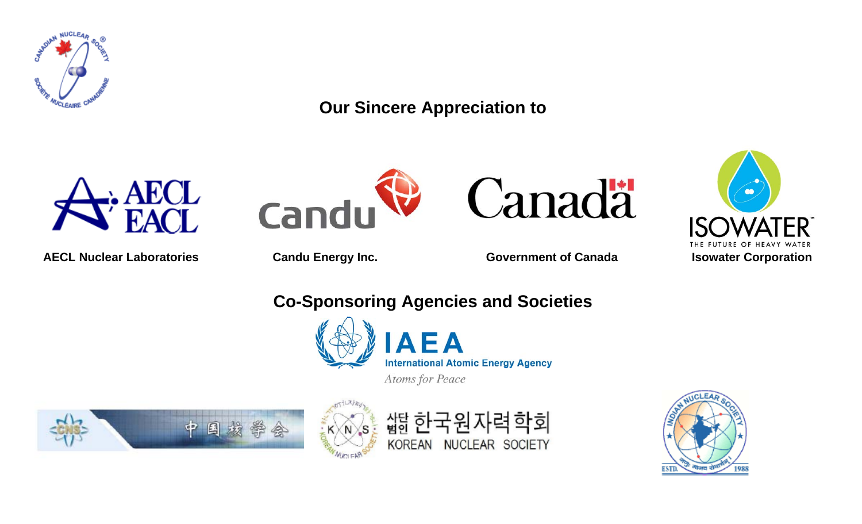

**Our Sincere Appreciation to** 



AECL Nuclear Laboratories **Candu Energy Inc.** Government of Canada **ISO Isowater Corporation** 







## **Co-Sponsoring Agencies and Societies**



 $\blacksquare$   $\blacktriangle$ **International Atomic Energy Agency** 

Atoms for Peace







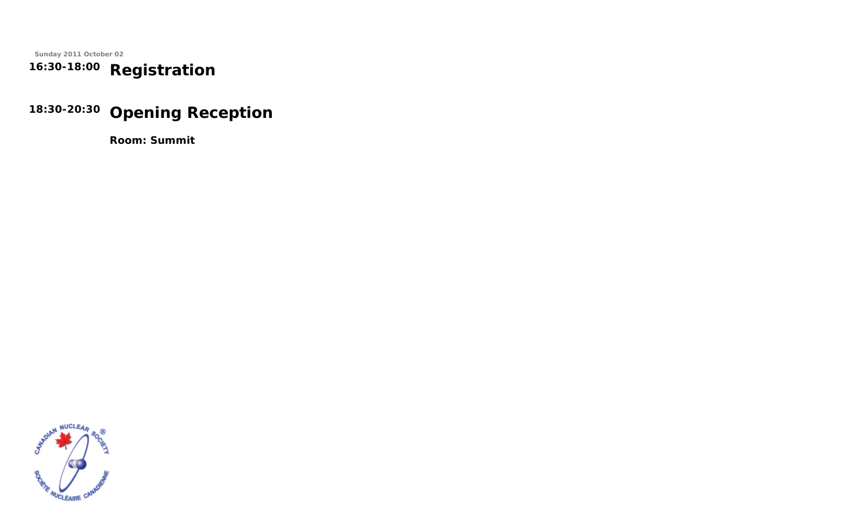**Sunday 2011 October 02 16:30-18:00 Registration**

# **18:30-20:30 Opening Reception**

**Room: Summit**

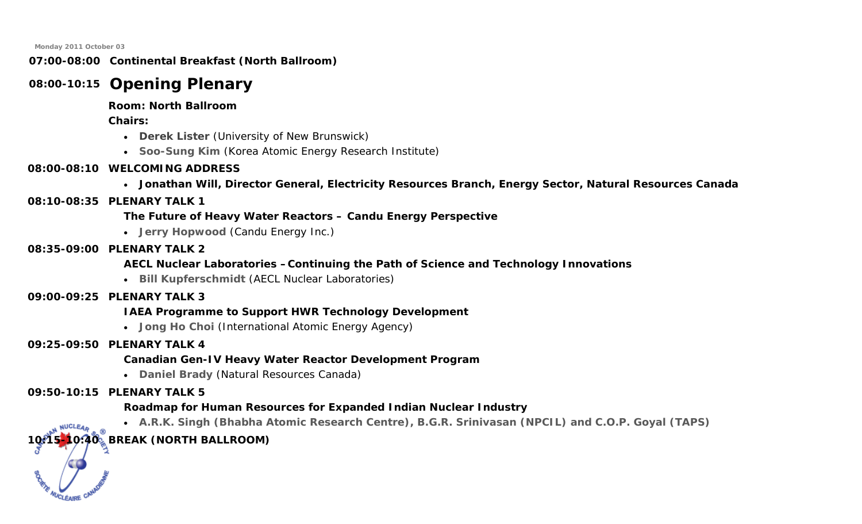### **07:00-08:00 Continental Breakfast (North Ballroom)**

## **08:00-10:15 Opening Plenary**

### **Room: North Ballroom**

**Chairs:** 

- **Derek Lister** (University of New Brunswick)
- **Soo-Sung Kim** (Korea Atomic Energy Research Institute)

## **08:00-08:10 WELCOMING ADDRESS**

• **Jonathan Will, Director General, Electricity Resources Branch, Energy Sector, Natural Resources Canada** 

## **08:10-08:35 PLENARY TALK 1**

**The Future of Heavy Water Reactors – Candu Energy Perspective** 

• **Jerry Hopwood** (Candu Energy Inc.)

### **08:35-09:00 PLENARY TALK 2**

## **AECL Nuclear Laboratories –Continuing the Path of Science and Technology Innovations**

• **Bill Kupferschmidt** (AECL Nuclear Laboratories)

### **09:00-09:25 PLENARY TALK 3**

## **IAEA Programme to Support HWR Technology Development**

• **Jong Ho Choi** (International Atomic Energy Agency)

## **09:25-09:50 PLENARY TALK 4**

## **Canadian Gen-IV Heavy Water Reactor Development Program**

• **Daniel Brady** (Natural Resources Canada)

## **09:50-10:15 PLENARY TALK 5**

## **Roadmap for Human Resources for Expanded Indian Nuclear Industry**

• **A.R.K. Singh (Bhabha Atomic Research Centre), B.G.R. Srinivasan (NPCIL) and C.O.P. Goyal (TAPS)**

## **10:15-10:40 BREAK (NORTH BALLROOM)**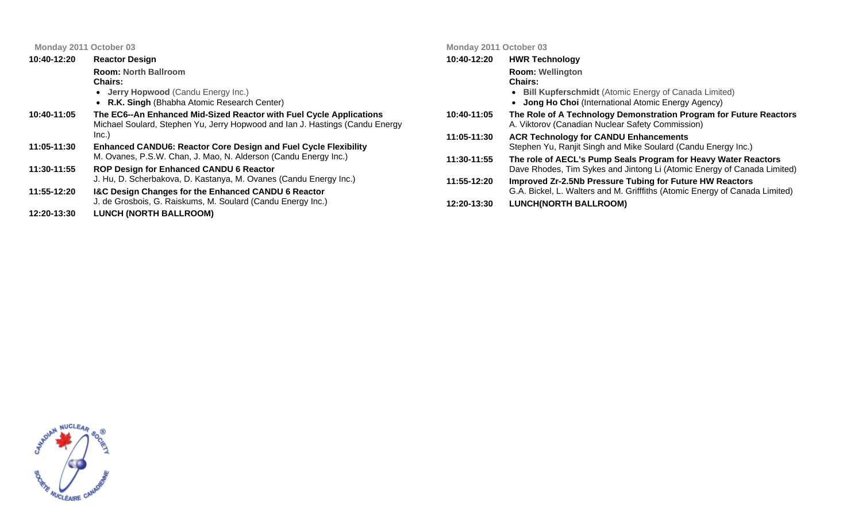| 10:40-12:20 | <b>Reactor Design</b>                                                                                                                               | 10:40-12:20 | HW         |
|-------------|-----------------------------------------------------------------------------------------------------------------------------------------------------|-------------|------------|
|             | <b>Room: North Ballroom</b>                                                                                                                         |             | Ro         |
|             | <b>Chairs:</b>                                                                                                                                      |             | Ch         |
|             | • Jerry Hopwood (Candu Energy Inc.)                                                                                                                 |             |            |
|             | • R.K. Singh (Bhabha Atomic Research Center)                                                                                                        |             |            |
| 10:40-11:05 | The EC6--An Enhanced Mid-Sized Reactor with Fuel Cycle Applications<br>Michael Soulard, Stephen Yu, Jerry Hopwood and Ian J. Hastings (Candu Energy | 10:40-11:05 | Th<br>A. ' |
|             | Inc.)                                                                                                                                               | 11:05-11:30 | AC         |
| 11:05-11:30 | <b>Enhanced CANDU6: Reactor Core Design and Fuel Cycle Flexibility</b>                                                                              |             | Ste        |
|             | M. Ovanes, P.S.W. Chan, J. Mao, N. Alderson (Candu Energy Inc.)                                                                                     | 11:30-11:55 | <b>Th</b>  |
| 11:30-11:55 | <b>ROP Design for Enhanced CANDU 6 Reactor</b>                                                                                                      |             | Da         |
|             | J. Hu, D. Scherbakova, D. Kastanya, M. Ovanes (Candu Energy Inc.)                                                                                   | 11:55-12:20 | <u>Imi</u> |
| 11:55-12:20 | <b>I&amp;C Design Changes for the Enhanced CANDU 6 Reactor</b>                                                                                      |             | GJ         |
|             | J. de Grosbois, G. Raiskums, M. Soulard (Candu Energy Inc.)                                                                                         | 12:20-13:30 | LU         |
| 12:20-13:30 | <b>LUNCH (NORTH BALLROOM)</b>                                                                                                                       |             |            |
|             |                                                                                                                                                     |             |            |

#### **Monday 2011 October 03**

| 10:40-12:20 | <b>HWR Technology</b>                                                                                                                     |
|-------------|-------------------------------------------------------------------------------------------------------------------------------------------|
|             | <b>Room: Wellington</b>                                                                                                                   |
|             | Chairs:                                                                                                                                   |
|             | <b>Bill Kupferschmidt</b> (Atomic Energy of Canada Limited)                                                                               |
|             | <b>Jong Ho Choi</b> (International Atomic Energy Agency)                                                                                  |
| 10:40-11:05 | The Role of A Technology Demonstration Program for Future Reactors<br>A. Viktorov (Canadian Nuclear Safety Commission)                    |
| 11:05-11:30 | <b>ACR Technology for CANDU Enhancements</b><br>Stephen Yu, Ranjit Singh and Mike Soulard (Candu Energy Inc.)                             |
| 11:30-11:55 | The role of AECL's Pump Seals Program for Heavy Water Reactors<br>Dave Rhodes, Tim Sykes and Jintong Li (Atomic Energy of Canada Limited) |
| 11:55-12:20 | Improved Zr-2.5Nb Pressure Tubing for Future HW Reactors<br>G.A. Bickel, L. Walters and M. Grifffiths (Atomic Energy of Canada Limited)   |
| 12:20-13:30 | <b>LUNCH(NORTH BALLROOM)</b>                                                                                                              |

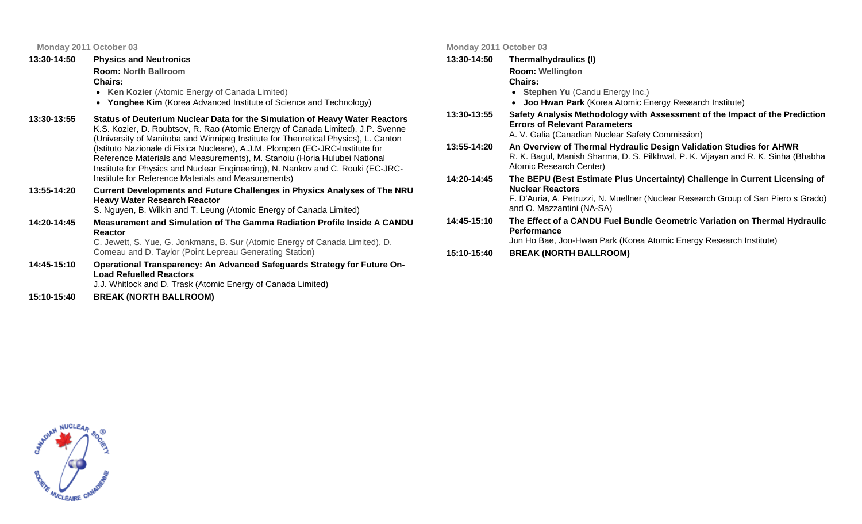| <b>Physics and Neutronics</b>                                                                                                                                                                                                                                                                                                                                                                                                                                                                         |
|-------------------------------------------------------------------------------------------------------------------------------------------------------------------------------------------------------------------------------------------------------------------------------------------------------------------------------------------------------------------------------------------------------------------------------------------------------------------------------------------------------|
| <b>Room: North Ballroom</b>                                                                                                                                                                                                                                                                                                                                                                                                                                                                           |
| <b>Chairs:</b>                                                                                                                                                                                                                                                                                                                                                                                                                                                                                        |
| • Ken Kozier (Atomic Energy of Canada Limited)                                                                                                                                                                                                                                                                                                                                                                                                                                                        |
| • Yonghee Kim (Korea Advanced Institute of Science and Technology)                                                                                                                                                                                                                                                                                                                                                                                                                                    |
| Status of Deuterium Nuclear Data for the Simulation of Heavy Water Reactors<br>K.S. Kozier, D. Roubtsov, R. Rao (Atomic Energy of Canada Limited), J.P. Svenne<br>(University of Manitoba and Winnipeg Institute for Theoretical Physics), L. Canton<br>(Istituto Nazionale di Fisica Nucleare), A.J.M. Plompen (EC-JRC-Institute for<br>Reference Materials and Measurements), M. Stanoiu (Horia Hulubei National<br>Institute for Physics and Nuclear Engineering), N. Nankov and C. Rouki (EC-JRC- |
|                                                                                                                                                                                                                                                                                                                                                                                                                                                                                                       |

Institute for Reference Materials and Measurements)

**13:55-14:20 Current Developments and Future Challenges in Physics Analyses of The NRU Heavy Water Research Reactor**  S. Nguyen, B. Wilkin and T. Leung (Atomic Energy of Canada Limited)

**14:20-14:45 Measurement and Simulation of The Gamma Radiation Profile Inside A CANDU Reactor** C. Jewett, S. Yue, G. Jonkmans, B. Sur (Atomic Energy of Canada Limited), D. Comeau and D. Taylor (Point Lepreau Generating Station)

**14:45-15:10 Operational Transparency: An Advanced Safeguards Strategy for Future On-Load Refuelled Reactors** 

J.J. Whitlock and D. Trask (Atomic Energy of Canada Limited)

**15:10-15:40 BREAK (NORTH BALLROOM)** 

#### **Monday 2011 October 03**

#### **13:30-14:50Thermalhydraulics (I)**

**Room: Wellington**

#### **Chairs:**

- **Stephen Yu** (Candu Energy Inc.)
- **Joo Hwan Park** (Korea Atomic Energy Research Institute)
- **13:30-13:55 Safety Analysis Methodology with Assessment of the Impact of the Prediction Errors of Relevant Parameters** A. V. Galia (Canadian Nuclear Safety Commission)
- **13:55-14:20 An Overview of Thermal Hydraulic Design Validation Studies for AHWR**  R. K. Bagul, Manish Sharma, D. S. Pilkhwal, P. K. Vijayan and R. K. Sinha (Bhabha Atomic Research Center)
- **14:20-14:45 The BEPU (Best Estimate Plus Uncertainty) Challenge in Current Licensing of Nuclear Reactors**

F. D'Auria, A. Petruzzi, N. Muellner (Nuclear Research Group of San Piero s Grado) and O. Mazzantini (NA-SA)

**14:45-15:10 The Effect of a CANDU Fuel Bundle Geometric Variation on Thermal Hydraulic Performance** 

Jun Ho Bae, Joo-Hwan Park (Korea Atomic Energy Research Institute)

**15:10-15:40 (NORTH BALLROOM)**

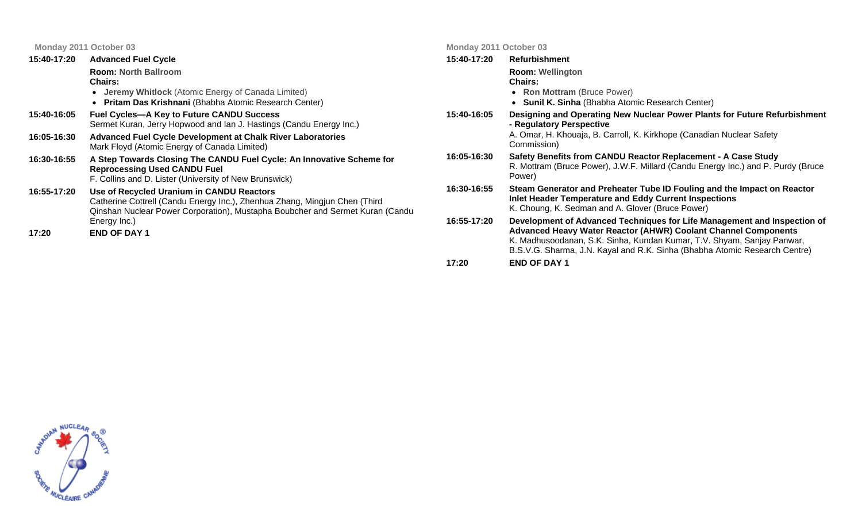|             | Monday 2011 October 03                                                                                                                                                                                   | Monday 2011 October 03 |                                                                                                                                                                                                                                                                                                    |
|-------------|----------------------------------------------------------------------------------------------------------------------------------------------------------------------------------------------------------|------------------------|----------------------------------------------------------------------------------------------------------------------------------------------------------------------------------------------------------------------------------------------------------------------------------------------------|
| 15:40-17:20 | <b>Advanced Fuel Cycle</b>                                                                                                                                                                               | 15:40-17:20            | Refurbishment                                                                                                                                                                                                                                                                                      |
|             | <b>Room: North Ballroom</b><br><b>Chairs:</b><br>• Jeremy Whitlock (Atomic Energy of Canada Limited)<br>• Pritam Das Krishnani (Bhabha Atomic Research Center)                                           |                        | <b>Room: Wellington</b><br><b>Chairs:</b><br>• Ron Mottram (Bruce Power)<br><b>Sunil K. Sinha</b> (Bhabha Atomic Research Center)                                                                                                                                                                  |
| 15:40-16:05 | <b>Fuel Cycles-A Key to Future CANDU Success</b><br>Sermet Kuran, Jerry Hopwood and Ian J. Hastings (Candu Energy Inc.)                                                                                  | 15:40-16:05            | Designing and Operating New Nuclear Power Plants for Future Refurbishment<br>- Regulatory Perspective                                                                                                                                                                                              |
| 16:05-16:30 | Advanced Fuel Cycle Development at Chalk River Laboratories<br>Mark Floyd (Atomic Energy of Canada Limited)                                                                                              | Commission)            | A. Omar, H. Khouaja, B. Carroll, K. Kirkhope (Canadian Nuclear Safety                                                                                                                                                                                                                              |
| 16:30-16:55 | A Step Towards Closing The CANDU Fuel Cycle: An Innovative Scheme for<br><b>Reprocessing Used CANDU Fuel</b><br>F. Collins and D. Lister (University of New Brunswick)                                   | 16:05-16:30            | Safety Benefits from CANDU Reactor Replacement - A Case Study<br>R. Mottram (Bruce Power), J.W.F. Millard (Candu Energy Inc.) and P. Purdy (Bruce<br>Power)                                                                                                                                        |
| 16:55-17:20 | Use of Recycled Uranium in CANDU Reactors<br>Catherine Cottrell (Candu Energy Inc.), Zhenhua Zhang, Mingjun Chen (Third<br>Qinshan Nuclear Power Corporation), Mustapha Boubcher and Sermet Kuran (Candu | 16:30-16:55            | Steam Generator and Preheater Tube ID Fouling and the Impact on Reactor<br>Inlet Header Temperature and Eddy Current Inspections<br>K. Choung, K. Sedman and A. Glover (Bruce Power)                                                                                                               |
| 17:20       | Energy Inc.)<br><b>END OF DAY 1</b>                                                                                                                                                                      | 16:55-17:20            | Development of Advanced Techniques for Life Management and Inspection of<br>Advanced Heavy Water Reactor (AHWR) Coolant Channel Components<br>K. Madhusoodanan, S.K. Sinha, Kundan Kumar, T.V. Shyam, Sanjay Panwar,<br>B.S.V.G. Sharma, J.N. Kayal and R.K. Sinha (Bhabha Atomic Research Centre) |

**17:20 END OF DAY 1**

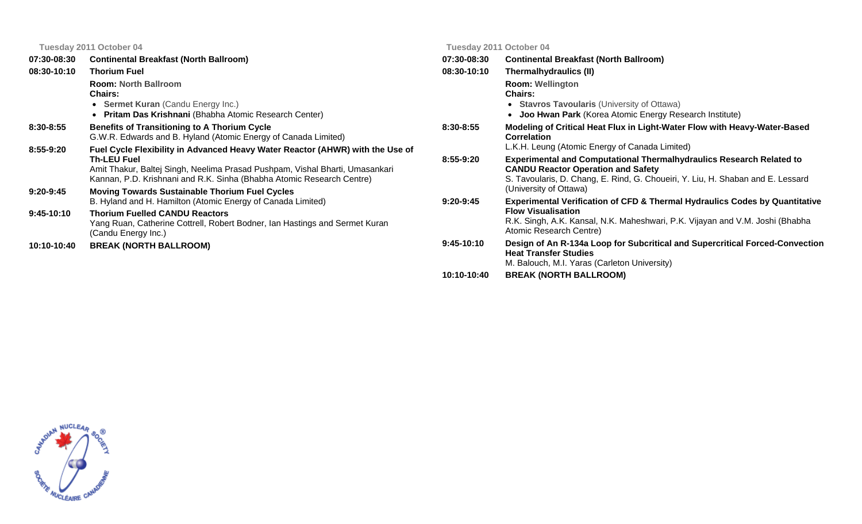|               | <b>Continental Breakfast (North Ballroom)</b>                                                                                                                                       | 07:30-08:30   |
|---------------|-------------------------------------------------------------------------------------------------------------------------------------------------------------------------------------|---------------|
| 08:30-10:10   | <b>Thorium Fuel</b>                                                                                                                                                                 | 08:30-10:10   |
|               | <b>Room: North Ballroom</b><br><b>Chairs:</b>                                                                                                                                       |               |
|               | • Sermet Kuran (Candu Energy Inc.)                                                                                                                                                  |               |
|               | • Pritam Das Krishnani (Bhabha Atomic Research Center)                                                                                                                              |               |
| $8:30 - 8:55$ | <b>Benefits of Transitioning to A Thorium Cycle</b><br>G.W.R. Edwards and B. Hyland (Atomic Energy of Canada Limited)                                                               | $8:30 - 8:55$ |
| 8:55-9:20     | Fuel Cycle Flexibility in Advanced Heavy Water Reactor (AHWR) with the Use of<br><b>Th-LEU Fuel</b><br>Amit Thakur, Baltej Singh, Neelima Prasad Pushpam, Vishal Bharti, Umasankari | $8:55-9:20$   |
|               | Kannan, P.D. Krishnani and R.K. Sinha (Bhabha Atomic Research Centre)                                                                                                               |               |
| $9:20-9:45$   | <b>Moving Towards Sustainable Thorium Fuel Cycles</b><br>B. Hyland and H. Hamilton (Atomic Energy of Canada Limited)                                                                | $9:20-9:45$   |
| $9:45-10:10$  | <b>Thorium Fuelled CANDU Reactors</b><br>Yang Ruan, Catherine Cottrell, Robert Bodner, Ian Hastings and Sermet Kuran<br>(Candu Energy Inc.)                                         |               |
| 10:10-10:40   | <b>BREAK (NORTH BALLROOM)</b>                                                                                                                                                       | 9:45-10:10    |

#### **Tuesday 2011 October 04**

| 07:30-08:30  | <b>Continental Breakfast (North Ballroom)</b>                                                                                                                                                                                         |
|--------------|---------------------------------------------------------------------------------------------------------------------------------------------------------------------------------------------------------------------------------------|
| 08:30-10:10  | Thermalhydraulics (II)                                                                                                                                                                                                                |
|              | <b>Room: Wellington</b><br>Chairs:<br>• Stavros Tavoularis (University of Ottawa)                                                                                                                                                     |
|              | • Joo Hwan Park (Korea Atomic Energy Research Institute)                                                                                                                                                                              |
| 8:30-8:55    | Modeling of Critical Heat Flux in Light-Water Flow with Heavy-Water-Based<br><b>Correlation</b>                                                                                                                                       |
|              | L.K.H. Leung (Atomic Energy of Canada Limited)                                                                                                                                                                                        |
| $8:55-9:20$  | <b>Experimental and Computational Thermalhydraulics Research Related to</b><br><b>CANDU Reactor Operation and Safety</b><br>S. Tavoularis, D. Chang, E. Rind, G. Choueiri, Y. Liu, H. Shaban and E. Lessard<br>(University of Ottawa) |
| $9:20-9:45$  | <b>Experimental Verification of CFD &amp; Thermal Hydraulics Codes by Quantitative</b><br><b>Flow Visualisation</b><br>R.K. Singh, A.K. Kansal, N.K. Maheshwari, P.K. Vijayan and V.M. Joshi (Bhabha<br>Atomic Research Centre)       |
| $9:45-10:10$ | Design of An R-134a Loop for Subcritical and Supercritical Forced-Convection<br><b>Heat Transfer Studies</b><br>M. Balouch, M.I. Yaras (Carleton University)                                                                          |
| 10.10 10.10  | <b>DDEAL INODTH DALL DOOM!</b>                                                                                                                                                                                                        |

**10:10-10:40 BREAK (NORTH BALLROOM)**

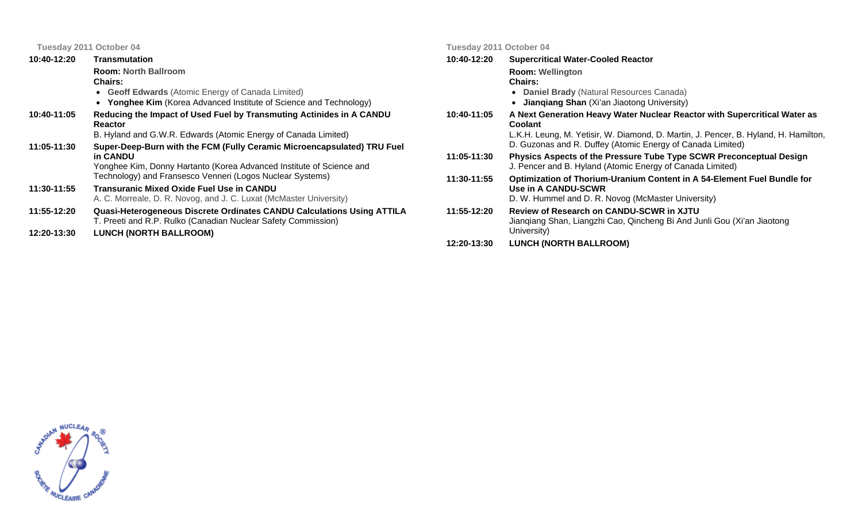| 10:40-12:20 | <b>Transmutation</b>                                                                                                                                                                                                     |
|-------------|--------------------------------------------------------------------------------------------------------------------------------------------------------------------------------------------------------------------------|
|             | <b>Room: North Ballroom</b><br>Chairs:<br>• Geoff Edwards (Atomic Energy of Canada Limited)<br><b>Yonghee Kim</b> (Korea Advanced Institute of Science and Technology)                                                   |
| 10:40-11:05 | Reducing the Impact of Used Fuel by Transmuting Actinides in A CANDU<br>Reactor<br>B. Hyland and G.W.R. Edwards (Atomic Energy of Canada Limited)                                                                        |
| 11:05-11:30 | Super-Deep-Burn with the FCM (Fully Ceramic Microencapsulated) TRU Fuel<br>in CANDU<br>Yonghee Kim, Donny Hartanto (Korea Advanced Institute of Science and<br>Technology) and Fransesco Venneri (Logos Nuclear Systems) |
| 11:30-11:55 | Transuranic Mixed Oxide Fuel Use in CANDU<br>A. C. Morreale, D. R. Novog, and J. C. Luxat (McMaster University)                                                                                                          |
| 11:55-12:20 | <b>Quasi-Heterogeneous Discrete Ordinates CANDU Calculations Using ATTILA</b><br>T. Preeti and R.P. Rulko (Canadian Nuclear Safety Commission)                                                                           |
| 12:20-13:30 | <b>LUNCH (NORTH BALLROOM)</b>                                                                                                                                                                                            |

**Tuesday 2011 October 04** 

**10:40-12:20Supercritical Water-Cooled Reactor** 

**Room: Wellington**

#### **Chairs:**

- **Daniel Brady** (Natural Resources Canada)
- **Jianqiang Shan** (Xi'an Jiaotong University)
- **10:40-11:05 A Next Generation Heavy Water Nuclear Reactor with Supercritical Water as Coolant**  L.K.H. Leung, M. Yetisir, W. Diamond, D. Martin, J. Pencer, B. Hyland, H. Hamilton, D. Guzonas and R. Duffey (Atomic Energy of Canada Limited)
- **11:05-11:30 Physics Aspects of the Pressure Tube Type SCWR Preconceptual Design**  J. Pencer and B. Hyland (Atomic Energy of Canada Limited)
- **11:30-11:55 Optimization of Thorium-Uranium Content in A 54-Element Fuel Bundle for Use in A CANDU-SCWR**  D. W. Hummel and D. R. Novog (McMaster University)
- **11:55-12:20 Review of Research on CANDU-SCWR in XJTU**  Jianqiang Shan, Liangzhi Cao, Qincheng Bi And Junli Gou (Xi'an Jiaotong University)
- **12:20-13:30LUNCH (NORTH BALLROOM)**

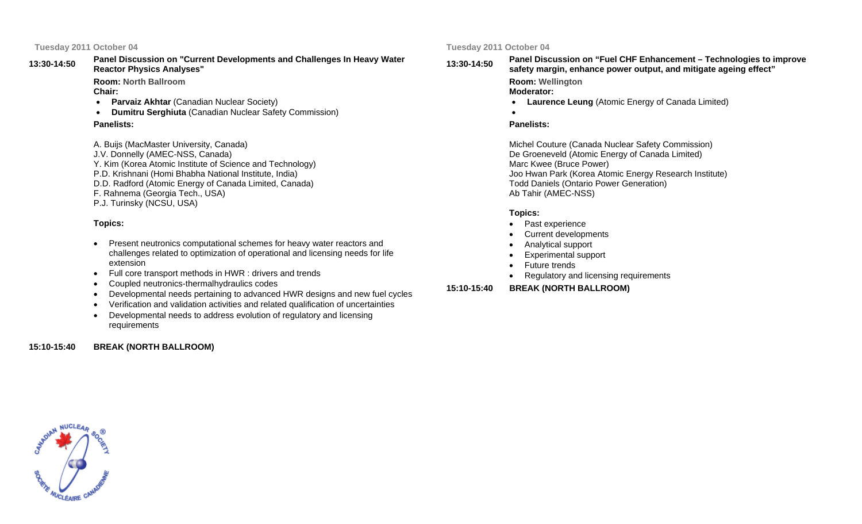#### **13:30-14:50Panel Discussion on "Current Developments and Challenges In Heavy Water Reactor Physics Analyses"**

**Room: North BallroomChair:** 

- •**Parvaiz Akhtar (Canadian Nuclear Society)**
- •**Dumitru Serghiuta** (Canadian Nuclear Safety Commission)

#### **Panelists:**

A. Buijs (MacMaster University, Canada) J.V. Donnelly (AMEC-NSS, Canada) Y. Kim (Korea Atomic Institute of Science and Technology) P.D. Krishnani (Homi Bhabha National Institute, India) D.D. Radford (Atomic Energy of Canada Limited, Canada) F. Rahnema (Georgia Tech., USA) P.J. Turinsky (NCSU, USA)

#### **Topics:**

- Present neutronics computational schemes for heavy water reactors and challenges related to optimization of operational and licensing needs for life extension
- Full core transport methods in HWR : drivers and trends
- Coupled neutronics-thermalhydraulics codes
- Developmental needs pertaining to advanced HWR designs and new fuel cycles
- Verification and validation activities and related qualification of uncertainties
- Developmental needs to address evolution of regulatory and licensing requirements

#### **15:10-15:40 BREAK (NORTH BALLROOM)**

#### **Tuesday 2011 October 04**

### **13:30-14:50**

## **Panel Discussion on "Fuel CHF Enhancement – Technologies to improve safety margin, enhance power output, and mitigate ageing effect"**

**Room: Wellington Moderator:** 

- •**Laurence Leung** (Atomic Energy of Canada Limited)
- •

#### **Panelists:**

Michel Couture (Canada Nuclear Safety Commission) De Groeneveld (Atomic Energy of Canada Limited) Marc Kwee (Bruce Power) Joo Hwan Park (Korea Atomic Energy Research Institute) Todd Daniels (Ontario Power Generation) Ab Tahir (AMEC-NSS)

#### **Topics:**

- Past experience
- Current developments
- Analytical support
- Experimental support
- Future trends
- Regulatory and licensing requirements

**15:10-15:40 (NORTH BALLROOM)**

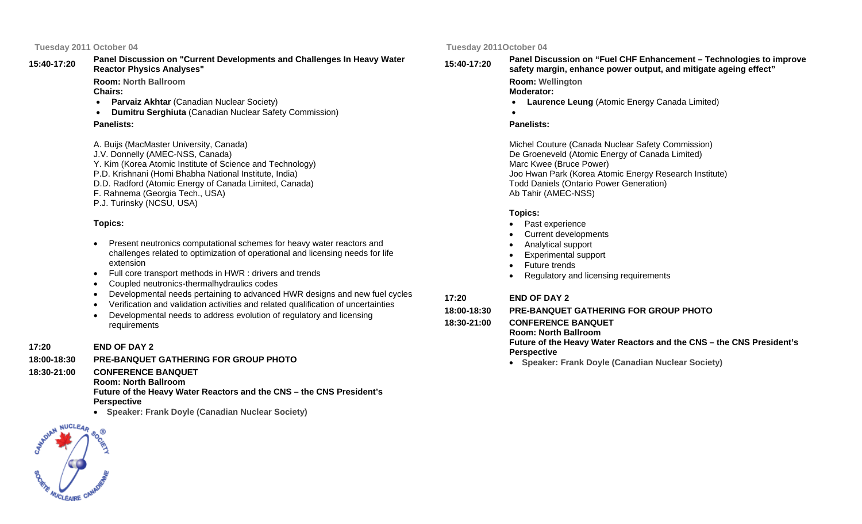**15:40-17:20Panel Discussion on "Current Developments and Challenges In Heavy Water Reactor Physics Analyses"** 

> **Room: North BallroomChairs:**

- **Parvaiz Akhtar** (Canadian Nuclear Society)
- •**Dumitru Serghiuta** (Canadian Nuclear Safety Commission)

### **Panelists:**

A. Buijs (MacMaster University, Canada) J.V. Donnelly (AMEC-NSS, Canada) Y. Kim (Korea Atomic Institute of Science and Technology) P.D. Krishnani (Homi Bhabha National Institute, India) D.D. Radford (Atomic Energy of Canada Limited, Canada) F. Rahnema (Georgia Tech., USA) P.J. Turinsky (NCSU, USA)

#### **Topics:**

- Present neutronics computational schemes for heavy water reactors and challenges related to optimization of operational and licensing needs for life extension
- Full core transport methods in HWR : drivers and trends
- Coupled neutronics-thermalhydraulics codes
- Developmental needs pertaining to advanced HWR designs and new fuel cycles
- Verification and validation activities and related qualification of uncertainties
- Developmental needs to address evolution of regulatory and licensing requirements
- **17:20 END OF DAY 2**
- **18:00-18:30PRE-BANQUET GATHERING FOR GROUP PHOTO**
- **18:30-21:00 CONFERENCE BANQUET** 
	- **Room: North Ballroom**

**Future of the Heavy Water Reactors and the CNS – the CNS President's Perspective** 

• **Speaker: Frank Doyle (Canadian Nuclear Society)**

#### **Tuesday 2011October 04**

**15:40-17:20**

## **Panel Discussion on "Fuel CHF Enhancement – Technologies to improve safety margin, enhance power output, and mitigate ageing effect"**

**Room: Wellington Moderator:** 

- •**Laurence Leung** (Atomic Energy Canada Limited)
- •

#### **Panelists:**

Michel Couture (Canada Nuclear Safety Commission) De Groeneveld (Atomic Energy of Canada Limited) Marc Kwee (Bruce Power) Joo Hwan Park (Korea Atomic Energy Research Institute) Todd Daniels (Ontario Power Generation) Ab Tahir (AMEC-NSS)

#### **Topics:**

- Past experience
- Current developments
- Analytical support
- Experimental support
- Future trends
- Regulatory and licensing requirements

#### **17:20 END OF DAY 2**

- **18:00-18:30PRE-BANQUET GATHERING FOR GROUP PHOTO**
- **18:30-21:00**
	- **CONFERENCE BANQUETRoom: North Ballroom Future of the Heavy Water Reactors and the CNS – the CNS President's Perspective** 
		- **Speaker: Frank Doyle (Canadian Nuclear Society)**

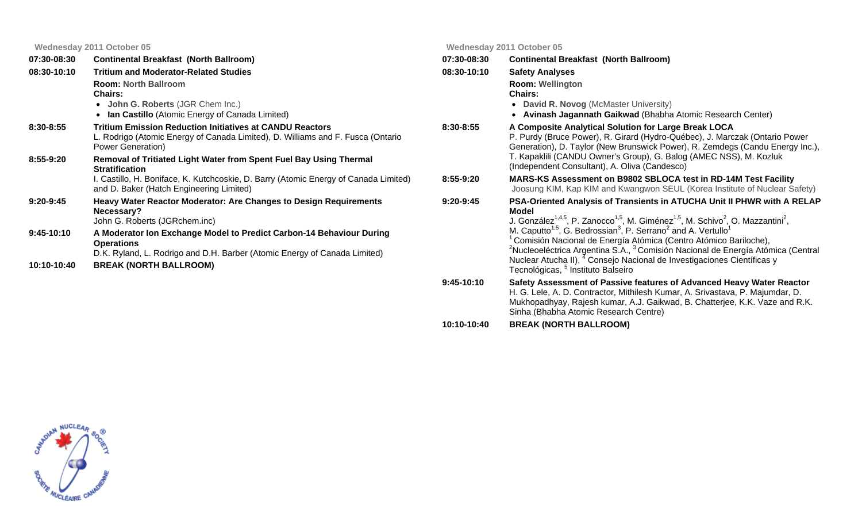|                             | Wednesday 2011 October 05                                                                                                                                                                               |               | <b>Wednesday 2011 October 05</b>                                                                                                                                                                                                                                                                                                                                                                                                                 |
|-----------------------------|---------------------------------------------------------------------------------------------------------------------------------------------------------------------------------------------------------|---------------|--------------------------------------------------------------------------------------------------------------------------------------------------------------------------------------------------------------------------------------------------------------------------------------------------------------------------------------------------------------------------------------------------------------------------------------------------|
| 07:30-08:30                 | <b>Continental Breakfast (North Ballroom)</b>                                                                                                                                                           | 07:30-08:30   | <b>Continental Breakfast (North Ballroom)</b>                                                                                                                                                                                                                                                                                                                                                                                                    |
| 08:30-10:10                 | <b>Tritium and Moderator-Related Studies</b>                                                                                                                                                            | 08:30-10:10   | <b>Safety Analyses</b>                                                                                                                                                                                                                                                                                                                                                                                                                           |
|                             | <b>Room: North Ballroom</b><br><b>Chairs:</b><br>• John G. Roberts (JGR Chem Inc.)<br>• Ian Castillo (Atomic Energy of Canada Limited)                                                                  |               | <b>Room: Wellington</b><br><b>Chairs:</b><br>• David R. Novog (McMaster University)<br>• Avinash Jagannath Gaikwad (Bhabha Atomic Research Center)                                                                                                                                                                                                                                                                                               |
| $8:30 - 8:55$               | <b>Tritium Emission Reduction Initiatives at CANDU Reactors</b><br>L. Rodrigo (Atomic Energy of Canada Limited), D. Williams and F. Fusca (Ontario<br>Power Generation)                                 | $8:30 - 8:55$ | A Composite Analytical Solution for Large Break LOCA<br>P. Purdy (Bruce Power), R. Girard (Hydro-Québec), J. Marczak (Ontario Power<br>Generation), D. Taylor (New Brunswick Power), R. Zemdegs (Candu Energy Inc.),                                                                                                                                                                                                                             |
| $8:55-9:20$                 | Removal of Tritiated Light Water from Spent Fuel Bay Using Thermal<br><b>Stratification</b>                                                                                                             |               | T. Kapaklili (CANDU Owner's Group), G. Balog (AMEC NSS), M. Kozluk<br>(Independent Consultant), A. Oliva (Candesco)                                                                                                                                                                                                                                                                                                                              |
|                             | I. Castillo, H. Boniface, K. Kutchcoskie, D. Barry (Atomic Energy of Canada Limited)<br>and D. Baker (Hatch Engineering Limited)                                                                        | 8:55-9:20     | MARS-KS Assessment on B9802 SBLOCA test in RD-14M Test Facility<br>Joosung KIM, Kap KIM and Kwangwon SEUL (Korea Institute of Nuclear Safety)                                                                                                                                                                                                                                                                                                    |
| $9:20-9:45$                 | <b>Heavy Water Reactor Moderator: Are Changes to Design Requirements</b><br>Necessary?<br>John G. Roberts (JGRchem.inc)                                                                                 | $9:20 - 9:45$ | PSA-Oriented Analysis of Transients in ATUCHA Unit II PHWR with A RELAP<br><b>Model</b><br>J. González <sup>1,4,5</sup> , P. Zanocco <sup>1,5</sup> , M. Giménez <sup>1,5</sup> , M. Schivo <sup>2</sup> , O. Mazzantini <sup>2</sup> ,                                                                                                                                                                                                          |
| $9:45-10:10$<br>10:10-10:40 | A Moderator Ion Exchange Model to Predict Carbon-14 Behaviour During<br><b>Operations</b><br>D.K. Ryland, L. Rodrigo and D.H. Barber (Atomic Energy of Canada Limited)<br><b>BREAK (NORTH BALLROOM)</b> |               | M. Caputto <sup>1,5</sup> , G. Bedrossian <sup>3</sup> , P. Serrano <sup>2</sup> and A. Vertullo <sup>1</sup><br><sup>1</sup> Comisión Nacional de Energía Atómica (Centro Atómico Bariloche),<br><sup>2</sup> Nucleoeléctrica Argentina S.A., <sup>3</sup> Comisión Nacional de Energía Atómica (Central<br>Nuclear Atucha II), <sup>4</sup> Consejo Nacional de Investigaciones Científicas y<br>Tecnológicas, <sup>5</sup> Instituto Balseiro |
|                             |                                                                                                                                                                                                         | $9:45-10:10$  | Safety Assessment of Passive features of Advanced Heavy Water Reactor                                                                                                                                                                                                                                                                                                                                                                            |

- **9:45-10:10 Safety Assessment of Passive features of Advanced Heavy Water Reactor**  H. G. Lele, A. D. Contractor, Mithilesh Kumar, A. Srivastava, P. Majumdar, D. Mukhopadhyay, Rajesh kumar, A.J. Gaikwad, B. Chatterjee, K.K. Vaze and R.K. Sinha (Bhabha Atomic Research Centre)
- **10:10-10:40 (NORTH BALLROOM)**

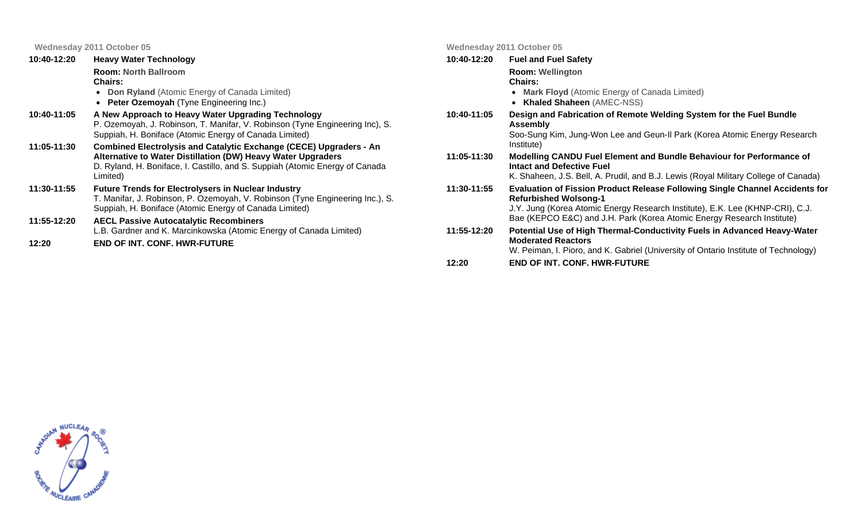**Wednesday 2011 October 05**

| 10:40-12:20 | <b>Heavy Water Technology</b>                                                                                                                                                                                                         | 10:40-12:20 | <b>Fuel and Fuel Safety</b>                                                                                                                                                                            |
|-------------|---------------------------------------------------------------------------------------------------------------------------------------------------------------------------------------------------------------------------------------|-------------|--------------------------------------------------------------------------------------------------------------------------------------------------------------------------------------------------------|
|             | <b>Room: North Ballroom</b><br><b>Chairs:</b><br>• Don Ryland (Atomic Energy of Canada Limited)<br><b>Peter Ozemoyah (Tyne Engineering Inc.)</b>                                                                                      |             | <b>Room: Wellington</b><br><b>Chairs:</b><br>• Mark Floyd (Atomic Energy of Canada Limited)<br>• Khaled Shaheen (AMEC-NSS)                                                                             |
| 10:40-11:05 | A New Approach to Heavy Water Upgrading Technology<br>P. Ozemoyah, J. Robinson, T. Manifar, V. Robinson (Tyne Engineering Inc), S.<br>Suppiah, H. Boniface (Atomic Energy of Canada Limited)                                          | 10:40-11:05 | Design and Fabrication of Remote Welding System for the Fuel Bundle<br>Assembly<br>Soo-Sung Kim, Jung-Won Lee and Geun-II Park (Korea Atomic Energy Research                                           |
| 11:05-11:30 | <b>Combined Electrolysis and Catalytic Exchange (CECE) Upgraders - An</b><br>Alternative to Water Distillation (DW) Heavy Water Upgraders<br>D. Ryland, H. Boniface, I. Castillo, and S. Suppiah (Atomic Energy of Canada<br>Limited) | 11:05-11:30 | Institute)<br>Modelling CANDU Fuel Element and Bundle Behaviour for Performance of<br>Intact and Defective Fuel<br>K. Shaheen, J.S. Bell, A. Prudil, and B.J. Lewis (Royal Military College of Canada) |
| 11:30-11:55 | <b>Future Trends for Electrolysers in Nuclear Industry</b><br>T. Manifar, J. Robinson, P. Ozemoyah, V. Robinson (Tyne Engineering Inc.), S.<br>Suppiah, H. Boniface (Atomic Energy of Canada Limited)                                 | 11:30-11:55 | Evaluation of Fission Product Release Following Single Channel Accidents for<br><b>Refurbished Wolsong-1</b><br>J.Y. Jung (Korea Atomic Energy Research Institute), E.K. Lee (KHNP-CRI), C.J.          |
| 11:55-12:20 | <b>AECL Passive Autocatalytic Recombiners</b><br>L.B. Gardner and K. Marcinkowska (Atomic Energy of Canada Limited)                                                                                                                   | 11:55-12:20 | Bae (KEPCO E&C) and J.H. Park (Korea Atomic Energy Research Institute)<br>Potential Use of High Thermal-Conductivity Fuels in Advanced Heavy-Water                                                     |
| 12:20       | <b>END OF INT. CONF. HWR-FUTURE</b>                                                                                                                                                                                                   |             | <b>Moderated Reactors</b><br>W. Peiman, I. Pioro, and K. Gabriel (University of Ontario Institute of Technology)                                                                                       |

**Wednesday 2011 October 05**

**END OF INT. CONF. HWR-FUTURE**

**12:20**

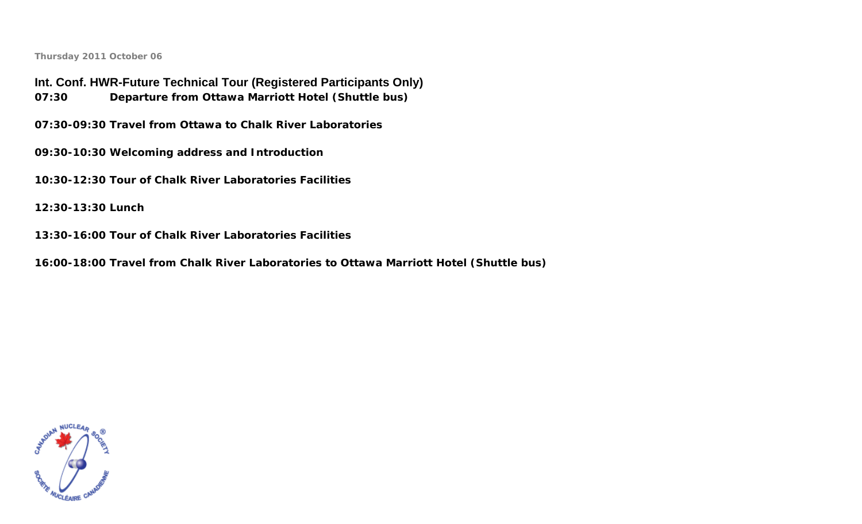**Int. Conf. HWR-Future Technical Tour (Registered Participants Only) 07:30Departure from Ottawa Marriott Hotel (Shuttle bus)** 

**07:30-09:30 Travel from Ottawa to Chalk River Laboratories** 

**09:30-10:30 Welcoming address and Introduction** 

**10:30-12:30 Tour of Chalk River Laboratories Facilities** 

**12:30-13:30 Lunch** 

**13:30-16:00 Tour of Chalk River Laboratories Facilities** 

**16:00-18:00 Travel from Chalk River Laboratories to Ottawa Marriott Hotel (Shuttle bus)**

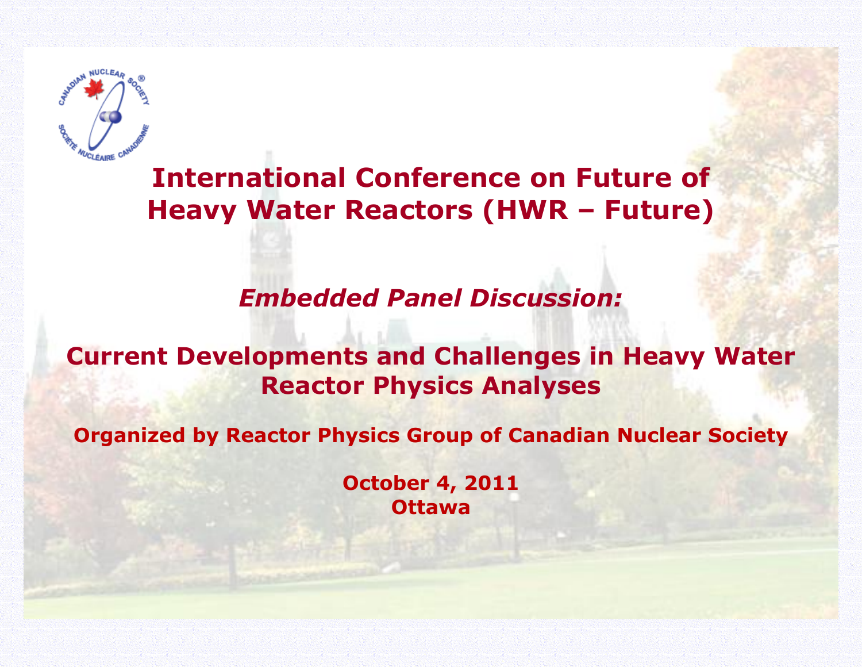

# **International Conference on Future of Heavy Water Reactors (HWR – Future)**

# *Embedded Panel Discussion:*

## **Current Developments and Challenges in Heavy Water Reactor Physics Analyses**

**Organized by Reactor Physics Group of Canadian Nuclear Society** 

**October 4, 2011 Ottawa**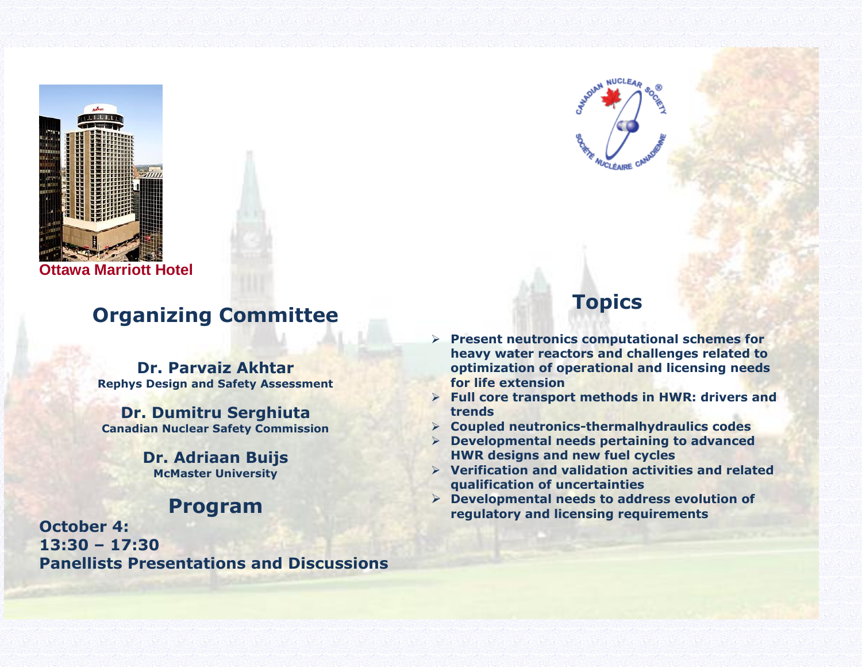

**Ottawa Marriott Hotel**

## **Organizing Committee**

**Dr. Parvaiz Akhtar Rephys Design and Safety Assessment**

**Dr. Dumitru Serghiuta Canadian Nuclear Safety Commission**

> **Dr. Adriaan Buijs McMaster University**

## **Program**

**October 4: 13:30 – 17:30 Panellists Presentations and Discussions**



## **Topics**

- **Present neutronics computational schemes for heavy water reactors and challenges related to optimization of operational and licensing needs for life extension**
- **Full core transport methods in HWR: drivers and trends**
- **Coupled neutronics-thermalhydraulics codes**
- **Developmental needs pertaining to advanced HWR designs and new fuel cycles**
- **Verification and validation activities and related qualification of uncertainties**
- **Developmental needs to address evolution of regulatory and licensing requirements**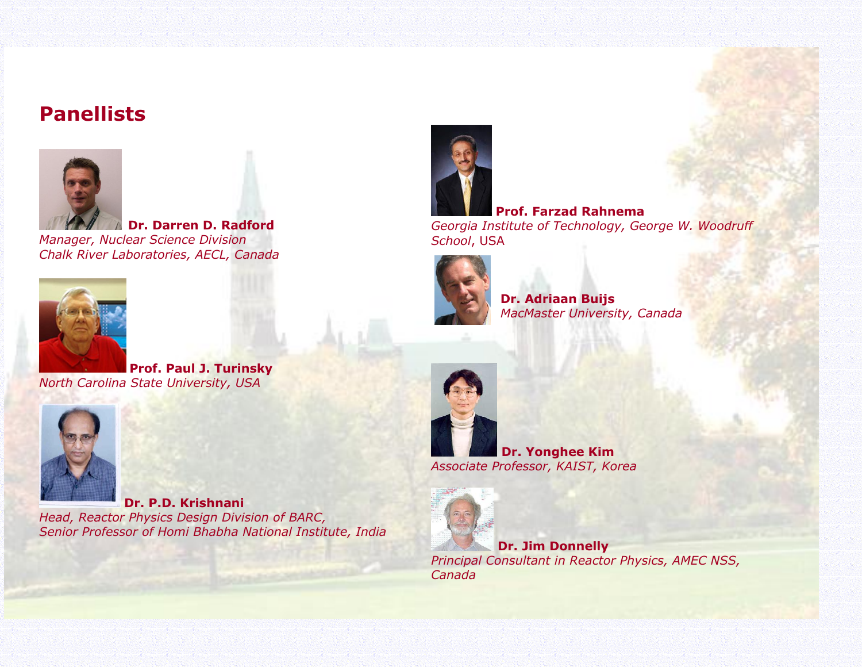## **Panellists**



 **Dr. Darren D. Radford** *Manager, Nuclear Science Division Chalk River Laboratories, AECL, Canada*



**Prof. Paul J. Turinsky** *North Carolina State University, USA*



**Dr. P.D. Krishnani** *Head, Reactor Physics Design Division of BARC, Senior Professor of Homi Bhabha National Institute, India*



**Prof. Farzad Rahnema** *Georgia Institute of Technology, George W. Woodruff School*, USA



**Dr. Adriaan Buijs** *MacMaster University, Canada*



**Dr. Yonghee Kim** *Associate Professor, KAIST, Korea*



**Dr. Jim Donnelly** *Principal Consultant in Reactor Physics, AMEC NSS, Canada*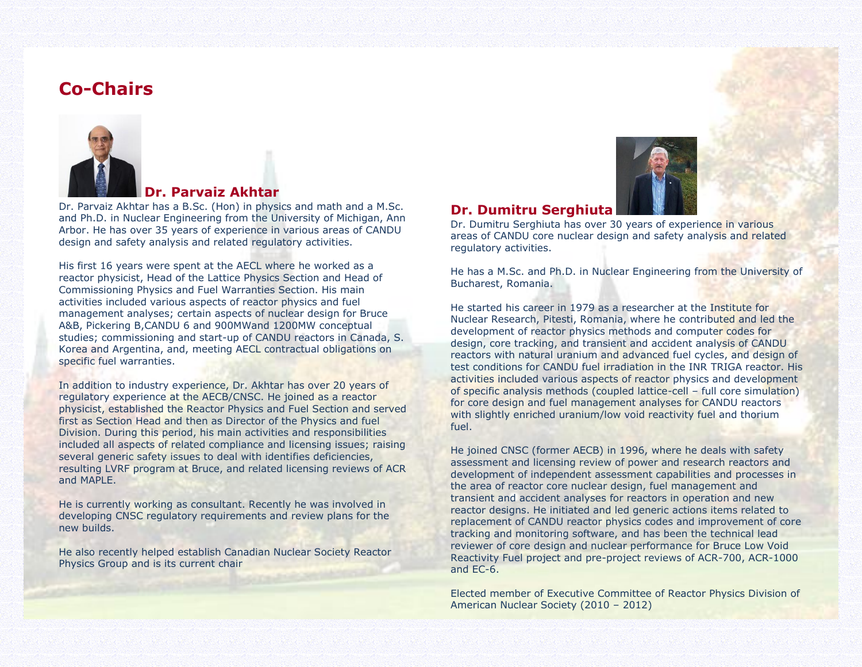## **Co-Chairs**



### **Dr. Parvaiz Akhtar**

Dr. Parvaiz Akhtar has a B.Sc. (Hon) in physics and math and a M.Sc. and Ph.D. in Nuclear Engineering from the University of Michigan, Ann Arbor. He has over 35 years of experience in various areas of CANDU design and safety analysis and related regulatory activities.

His first 16 years were spent at the AECL where he worked as a reactor physicist, Head of the Lattice Physics Section and Head of Commissioning Physics and Fuel Warranties Section. His main activities included various aspects of reactor physics and fuel management analyses; certain aspects of nuclear design for Bruce A&B, Pickering B,CANDU 6 and 900MWand 1200MW conceptual studies; commissioning and start-up of CANDU reactors in Canada, S. Korea and Argentina, and, meeting AECL contractual obligations on specific fuel warranties.

In addition to industry experience, Dr. Akhtar has over 20 years of regulatory experience at the AECB/CNSC. He joined as a reactor physicist, established the Reactor Physics and Fuel Section and served first as Section Head and then as Director of the Physics and fuel Division. During this period, his main activities and responsibilities included all aspects of related compliance and licensing issues; raising several generic safety issues to deal with identifies deficiencies, resulting LVRF program at Bruce, and related licensing reviews of ACR and MAPLE.

He is currently working as consultant. Recently he was involved in developing CNSC regulatory requirements and review plans for the new builds.

He also recently helped establish Canadian Nuclear Society Reactor Physics Group and is its current chair



#### **Dr. Dumitru Serghiuta**

Dr. Dumitru Serghiuta has over 30 years of experience in various areas of CANDU core nuclear design and safety analysis and related regulatory activities.

He has a M.Sc. and Ph.D. in Nuclear Engineering from the University of Bucharest, Romania.

He started his career in 1979 as a researcher at the Institute for Nuclear Research, Pitesti, Romania, where he contributed and led the development of reactor physics methods and computer codes for design, core tracking, and transient and accident analysis of CANDU reactors with natural uranium and advanced fuel cycles, and design of test conditions for CANDU fuel irradiation in the INR TRIGA reactor. His activities included various aspects of reactor physics and development of specific analysis methods (coupled lattice-cell – full core simulation) for core design and fuel management analyses for CANDU reactors with slightly enriched uranium/low void reactivity fuel and thorium fuel.

He joined CNSC (former AECB) in 1996, where he deals with safety assessment and licensing review of power and research reactors and development of independent assessment capabilities and processes in the area of reactor core nuclear design, fuel management and transient and accident analyses for reactors in operation and new reactor designs. He initiated and led generic actions items related to replacement of CANDU reactor physics codes and improvement of core tracking and monitoring software, and has been the technical lead reviewer of core design and nuclear performance for Bruce Low Void Reactivity Fuel project and pre-project reviews of ACR-700, ACR-1000 and EC-6.

Elected member of Executive Committee of Reactor Physics Division of American Nuclear Society (2010 – 2012)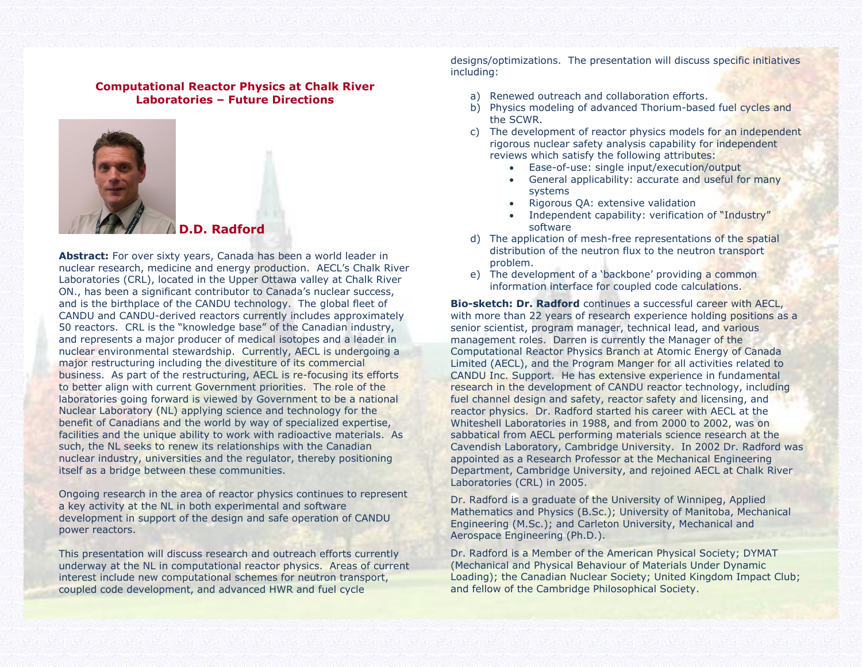#### **Computational Reactor Physics at Chalk River Laboratories – Future Directions**



**D.D. Radford**

**Abstract:** For over sixty years, Canada has been a world leader in nuclear research, medicine and energy production. AECL's Chalk River Laboratories (CRL), located in the Upper Ottawa valley at Chalk River ON., has been a significant contributor to Canada's nuclear success, and is the birthplace of the CANDU technology. The global fleet of CANDU and CANDU-derived reactors currently includes approximately 50 reactors. CRL is the "knowledge base" of the Canadian industry, and represents a major producer of medical isotopes and a leader in nuclear environmental stewardship. Currently, AECL is undergoing a major restructuring including the divestiture of its commercial business. As part of the restructuring, AECL is re-focusing its efforts to better align with current Government priorities. The role of the laboratories going forward is viewed by Government to be a national Nuclear Laboratory (NL) applying science and technology for the benefit of Canadians and the world by way of specialized expertise, facilities and the unique ability to work with radioactive materials. As such, the NL seeks to renew its relationships with the Canadian nuclear industry, universities and the regulator, thereby positioning itself as a bridge between these communities.

Ongoing research in the area of reactor physics continues to represent a key activity at the NL in both experimental and software development in support of the design and safe operation of CANDU power reactors.

This presentation will discuss research and outreach efforts currently underway at the NL in computational reactor physics. Areas of current interest include new computational schemes for neutron transport, coupled code development, and advanced HWR and fuel cycle

designs/optimizations. The presentation will discuss specific initiatives including:

- a) Renewed outreach and collaboration efforts.
- b) Physics modeling of advanced Thorium-based fuel cycles and the SCWR.
- c) The development of reactor physics models for an independent rigorous nuclear safety analysis capability for independent reviews which satisfy the following attributes:
	- Ease-of-use: single input/execution/output
	- General applicability: accurate and useful for many systems
	- Rigorous QA: extensive validation
	- Independent capability: verification of "Industry" software
- d) The application of mesh-free representations of the spatial distribution of the neutron flux to the neutron transport problem.
- e) The development of a 'backbone' providing a common information interface for coupled code calculations.

**Bio-sketch: Dr. Radford** continues a successful career with AECL, with more than 22 years of research experience holding positions as a senior scientist, program manager, technical lead, and various management roles. Darren is currently the Manager of the Computational Reactor Physics Branch at Atomic Energy of Canada Limited (AECL), and the Program Manger for all activities related to CANDU Inc. Support. He has extensive experience in fundamental research in the development of CANDU reactor technology, including fuel channel design and safety, reactor safety and licensing, and reactor physics. Dr. Radford started his career with AECL at the Whiteshell Laboratories in 1988, and from 2000 to 2002, was on sabbatical from AECL performing materials science research at the Cavendish Laboratory, Cambridge University. In 2002 Dr. Radford was appointed as a Research Professor at the Mechanical Engineering Department, Cambridge University, and rejoined AECL at Chalk River Laboratories (CRL) in 2005.

Dr. Radford is a graduate of the University of Winnipeg, Applied Mathematics and Physics (B.Sc.); University of Manitoba, Mechanical Engineering (M.Sc.); and Carleton University, Mechanical and Aerospace Engineering (Ph.D.).

Dr. Radford is a Member of the American Physical Society; DYMAT (Mechanical and Physical Behaviour of Materials Under Dynamic Loading); the Canadian Nuclear Society; United Kingdom Impact Club; and fellow of the Cambridge Philosophical Society.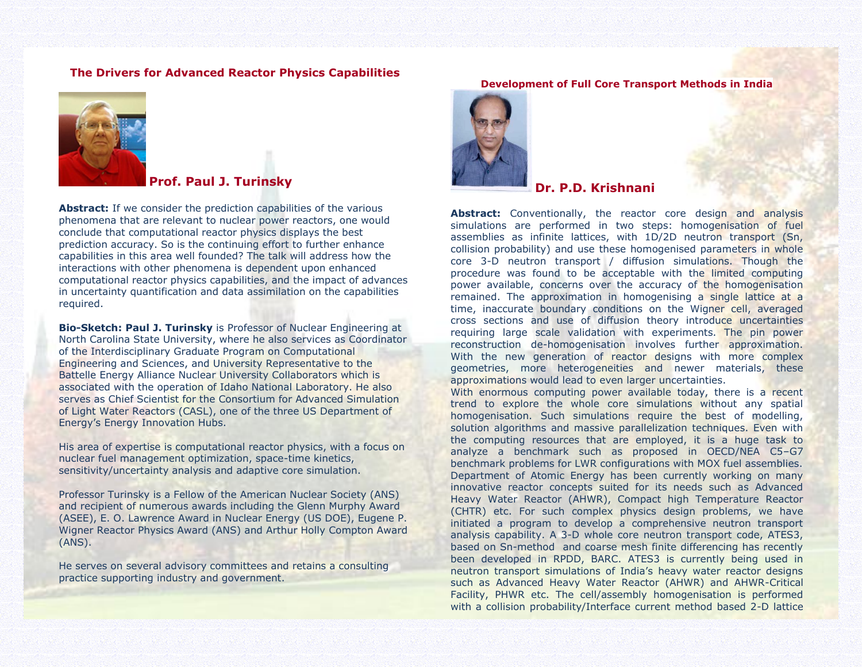#### **The Drivers for Advanced Reactor Physics Capabilities**



#### **Prof. Paul J. Turinsky**

Abstract: If we consider the prediction capabilities of the various phenomena that are relevant to nuclear power reactors, one would conclude that computational reactor physics displays the best prediction accuracy. So is the continuing effort to further enhance capabilities in this area well founded? The talk will address how the interactions with other phenomena is dependent upon enhanced computational reactor physics capabilities, and the impact of advances in uncertainty quantification and data assimilation on the capabilities required.

**Bio-Sketch: Paul J. Turinsky** is Professor of Nuclear Engineering at North Carolina State University, where he also services as Coordinator of the Interdisciplinary Graduate Program on Computational Engineering and Sciences, and University Representative to the Battelle Energy Alliance Nuclear University Collaborators which is associated with the operation of Idaho National Laboratory. He also serves as Chief Scientist for the Consortium for Advanced Simulation of Light Water Reactors (CASL), one of the three US Department of Energy's Energy Innovation Hubs.

His area of expertise is computational reactor physics, with a focus on nuclear fuel management optimization, space-time kinetics, sensitivity/uncertainty analysis and adaptive core simulation.

Professor Turinsky is a Fellow of the American Nuclear Society (ANS) and recipient of numerous awards including the Glenn Murphy Award (ASEE), E. O. Lawrence Award in Nuclear Energy (US DOE), Eugene P. Wigner Reactor Physics Award (ANS) and Arthur Holly Compton Award (ANS).

He serves on several advisory committees and retains a consulting practice supporting industry and government.

#### **Development of Full Core Transport Methods in India**



#### **Dr. P.D. Krishnani**

**Abstract:** Conventionally, the reactor core design and analysis simulations are performed in two steps: homogenisation of fuel assemblies as infinite lattices, with 1D/2D neutron transport (Sn, collision probability) and use these homogenised parameters in whole core 3-D neutron transport / diffusion simulations. Though the procedure was found to be acceptable with the limited computing power available, concerns over the accuracy of the homogenisation remained. The approximation in homogenising a single lattice at a time, inaccurate boundary conditions on the Wigner cell, averaged cross sections and use of diffusion theory introduce uncertainties requiring large scale validation with experiments. The pin power reconstruction de-homogenisation involves further approximation. With the new generation of reactor designs with more complex geometries, more heterogeneities and newer materials, these approximations would lead to even larger uncertainties.

With enormous computing power available today, there is a recent trend to explore the whole core simulations without any spatial homogenisation. Such simulations require the best of modelling, solution algorithms and massive parallelization techniques. Even with the computing resources that are employed, it is a huge task to analyze a benchmark such as proposed in OECD/NEA C5–G7 benchmark problems for LWR configurations with MOX fuel assemblies. Department of Atomic Energy has been currently working on many innovative reactor concepts suited for its needs such as Advanced Heavy Water Reactor (AHWR), Compact high Temperature Reactor (CHTR) etc. For such complex physics design problems, we have initiated a program to develop a comprehensive neutron transport analysis capability. A 3-D whole core neutron transport code, ATES3, based on Sn-method and coarse mesh finite differencing has recently been developed in RPDD, BARC. ATES3 is currently being used in neutron transport simulations of India's heavy water reactor designs such as Advanced Heavy Water Reactor (AHWR) and AHWR-Critical Facility, PHWR etc. The cell/assembly homogenisation is performed with a collision probability/Interface current method based 2-D lattice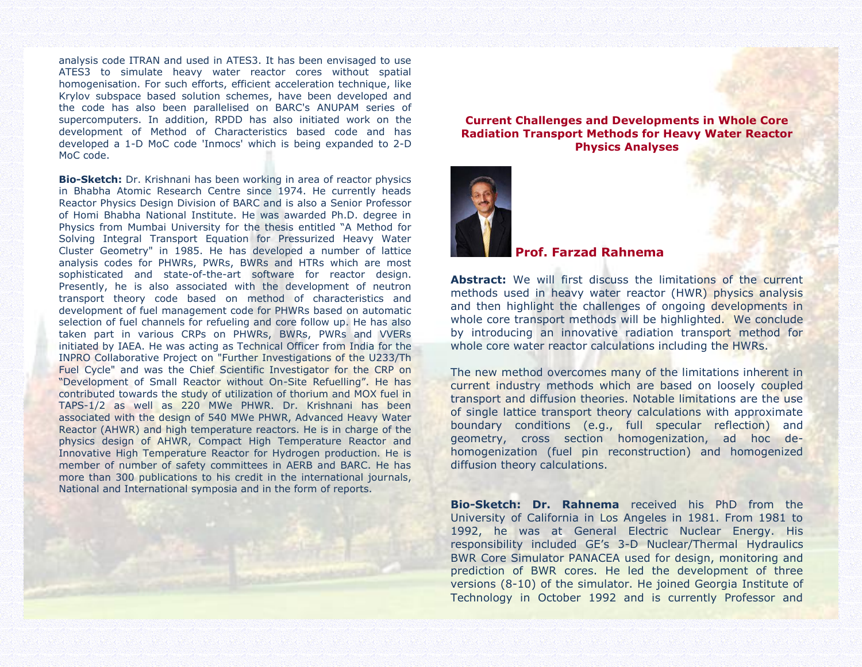analysis code ITRAN and used in ATES3. It has been envisaged to use ATES3 to simulate heavy water reactor cores without spatial homogenisation. For such efforts, efficient acceleration technique, like Krylov subspace based solution schemes, have been developed and the code has also been parallelised on BARC's ANUPAM series of supercomputers. In addition, RPDD has also initiated work on the development of Method of Characteristics based code and has developed a 1-D MoC code 'Inmocs' which is being expanded to 2-D MoC code.

**Bio-Sketch:** Dr. Krishnani has been working in area of reactor physics in Bhabha Atomic Research Centre since 1974. He currently heads Reactor Physics Design Division of BARC and is also a Senior Professor of Homi Bhabha National Institute. He was awarded Ph.D. degree in Physics from Mumbai University for the thesis entitled "A Method for Solving Integral Transport Equation for Pressurized Heavy Water Cluster Geometry" in 1985. He has developed a number of lattice analysis codes for PHWRs, PWRs, BWRs and HTRs which are most sophisticated and state-of-the-art software for reactor design. Presently, he is also associated with the development of neutron transport theory code based on method of characteristics and development of fuel management code for PHWRs based on automatic selection of fuel channels for refueling and core follow up. He has also taken part in various CRPs on PHWRs, BWRs, PWRs and VVERs initiated by IAEA. He was acting as Technical Officer from India for the INPRO Collaborative Project on "Further Investigations of the U233/Th Fuel Cycle" and was the Chief Scientific Investigator for the CRP on "Development of Small Reactor without On-Site Refuelling". He has contributed towards the study of utilization of thorium and MOX fuel in TAPS-1/2 as well as 220 MWe PHWR. Dr. Krishnani has been associated with the design of 540 MWe PHWR, Advanced Heavy Water Reactor (AHWR) and high temperature reactors. He is in charge of the physics design of AHWR, Compact High Temperature Reactor and Innovative High Temperature Reactor for Hydrogen production. He is member of number of safety committees in AERB and BARC. He has more than 300 publications to his credit in the international journals, National and International symposia and in the form of reports.





#### **Prof. Farzad Rahnema**

**Abstract:** We will first discuss the limitations of the current methods used in heavy water reactor (HWR) physics analysis and then highlight the challenges of ongoing developments in whole core transport methods will be highlighted. We conclude by introducing an innovative radiation transport method for whole core water reactor calculations including the HWRs.

The new method overcomes many of the limitations inherent in current industry methods which are based on loosely coupled transport and diffusion theories. Notable limitations are the use of single lattice transport theory calculations with approximate boundary conditions (e.g., full specular reflection) and geometry, cross section homogenization, ad hoc dehomogenization (fuel pin reconstruction) and homogenized diffusion theory calculations.

**Bio-Sketch: Dr. Rahnema** received his PhD from the University of California in Los Angeles in 1981. From 1981 to 1992, he was at General Electric Nuclear Energy. His responsibility included GE's 3-D Nuclear/Thermal Hydraulics BWR Core Simulator PANACEA used for design, monitoring and prediction of BWR cores. He led the development of three versions (8-10) of the simulator. He joined Georgia Institute of Technology in October 1992 and is currently Professor and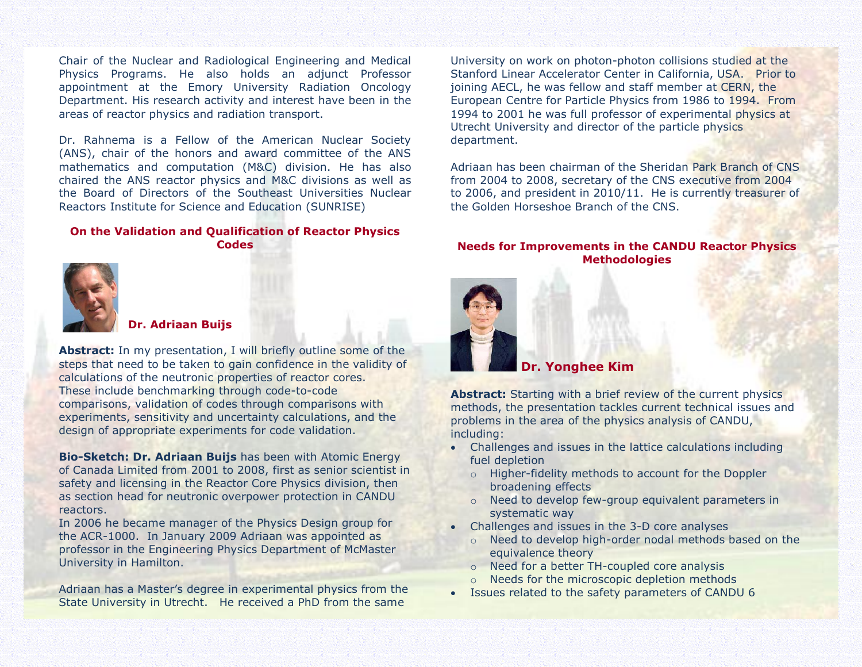Chair of the Nuclear and Radiological Engineering and Medical Physics Programs. He also holds an adjunct Professor appointment at the Emory University Radiation Oncology Department. His research activity and interest have been in the areas of reactor physics and radiation transport.

Dr. Rahnema is a Fellow of the American Nuclear Society (ANS), chair of the honors and award committee of the ANS mathematics and computation (M&C) division. He has also chaired the ANS reactor physics and M&C divisions as well as the Board of Directors of the Southeast Universities Nuclear Reactors Institute for Science and Education (SUNRISE)

#### **On the Validation and Qualification of Reactor Physics Codes**





#### **Dr. Adriaan Buijs**

**Abstract:** In my presentation, I will briefly outline some of the steps that need to be taken to gain confidence in the validity of calculations of the neutronic properties of reactor cores. These include benchmarking through code-to-code comparisons, validation of codes through comparisons with experiments, sensitivity and uncertainty calculations, and the design of appropriate experiments for code validation.

**Bio-Sketch: Dr. Adriaan Buijs** has been with Atomic Energy of Canada Limited from 2001 to 2008, first as senior scientist in safety and licensing in the Reactor Core Physics division, then as section head for neutronic overpower protection in CANDU reactors.

In 2006 he became manager of the Physics Design group for the ACR-1000. In January 2009 Adriaan was appointed as professor in the Engineering Physics Department of McMaster University in Hamilton.

Adriaan has a Master's degree in experimental physics from the State University in Utrecht. He received a PhD from the same

University on work on photon-photon collisions studied at the Stanford Linear Accelerator Center in California, USA. Prior to joining AECL, he was fellow and staff member at CERN, the European Centre for Particle Physics from 1986 to 1994. From 1994 to 2001 he was full professor of experimental physics at Utrecht University and director of the particle physics department.

Adriaan has been chairman of the Sheridan Park Branch of CNS from 2004 to 2008, secretary of the CNS executive from 2004 to 2006, and president in 2010/11. He is currently treasurer of the Golden Horseshoe Branch of the CNS.

#### **Needs for Improvements in the CANDU Reactor Physics Methodologies**



#### **Dr. Yonghee Kim**

**Abstract:** Starting with a brief review of the current physics methods, the presentation tackles current technical issues and problems in the area of the physics analysis of CANDU, including:

- Challenges and issues in the lattice calculations including fuel depletion
	- o Higher-fidelity methods to account for the Doppler broadening effects
	- o Need to develop few-group equivalent parameters in systematic way
- Challenges and issues in the 3-D core analyses
	- o Need to develop high-order nodal methods based on the equivalence theory
	- o Need for a better TH-coupled core analysis
	- o Needs for the microscopic depletion methods
- Issues related to the safety parameters of CANDU 6